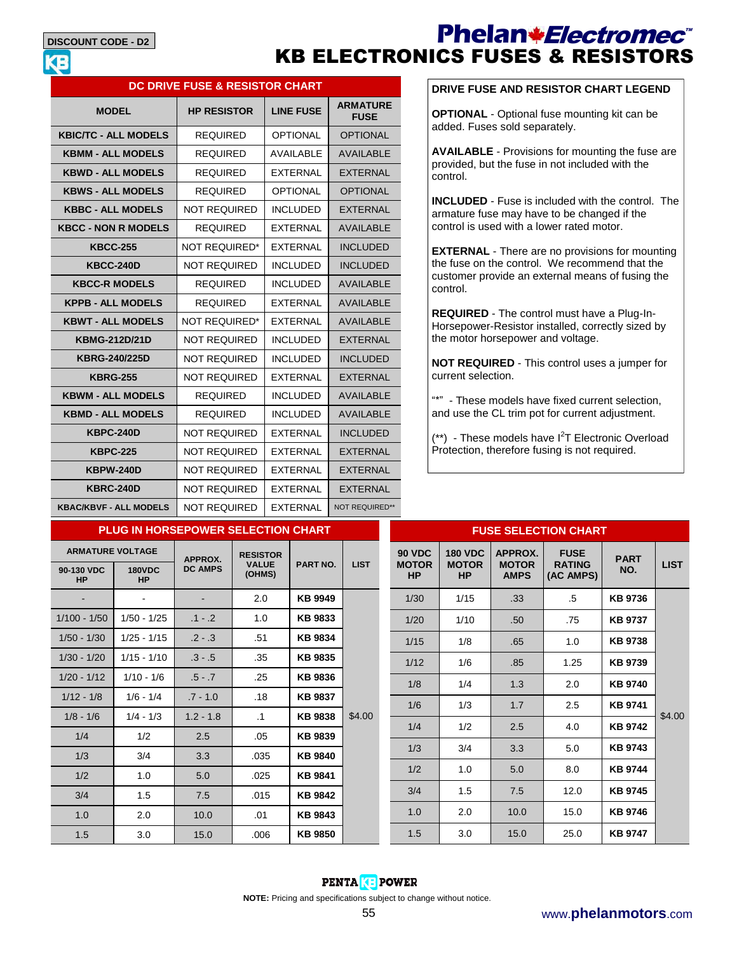#### **DISCOUNT CODE - D2**

## Phelan\*Electromec<sup>\*</sup> KB ELECTRONICS FUSES & RESISTORS

| <b>DC DRIVE FUSE &amp; RESISTOR CHART</b> |                      |                  |                                |  |  |
|-------------------------------------------|----------------------|------------------|--------------------------------|--|--|
| <b>MODEL</b>                              | <b>HP RESISTOR</b>   | <b>LINE FUSE</b> | <b>ARMATURE</b><br><b>FUSE</b> |  |  |
| <b>KBIC/TC - ALL MODELS</b>               | <b>REQUIRED</b>      | <b>OPTIONAL</b>  | <b>OPTIONAL</b>                |  |  |
| <b>KBMM - ALL MODELS</b>                  | <b>REQUIRED</b>      | AVAII ABI F      | <b>AVAILABLE</b>               |  |  |
| <b>KBWD - ALL MODELS</b>                  | <b>REQUIRED</b>      | <b>FXTFRNAI</b>  | <b>FXTFRNAI</b>                |  |  |
| <b>KBWS - ALL MODELS</b>                  | <b>REQUIRED</b>      | <b>OPTIONAL</b>  | <b>OPTIONAL</b>                |  |  |
| <b>KBBC - ALL MODELS</b>                  | <b>NOT REQUIRED</b>  | <b>INCLUDED</b>  | FXTFRNAL                       |  |  |
| <b>KBCC - NON R MODELS</b>                | <b>REQUIRED</b>      | <b>EXTERNAL</b>  | <b>AVAILABLE</b>               |  |  |
| <b>KBCC-255</b>                           | NOT REQUIRED*        | FXTFRNAI         | <b>INCLUDED</b>                |  |  |
| <b>KBCC-240D</b>                          | <b>NOT REQUIRED</b>  | <b>INCLUDED</b>  | <b>INCLUDED</b>                |  |  |
| <b>KBCC-R MODELS</b>                      | <b>REQUIRED</b>      | <b>INCLUDED</b>  | <b>AVAILABLE</b>               |  |  |
| <b>KPPB - ALL MODELS</b>                  | <b>REQUIRED</b>      | <b>FXTFRNAI</b>  | <b>AVAILABLE</b>               |  |  |
| <b>KBWT - ALL MODELS</b>                  | <b>NOT REQUIRED*</b> | <b>EXTERNAL</b>  | <b>AVAILABLE</b>               |  |  |
| <b>KBMG-212D/21D</b>                      | <b>NOT REQUIRED</b>  | <b>INCLUDED</b>  | <b>FXTFRNAL</b>                |  |  |
| <b>KBRG-240/225D</b>                      | <b>NOT REQUIRED</b>  | <b>INCLUDED</b>  | <b>INCLUDED</b>                |  |  |
| <b>KBRG-255</b>                           | <b>NOT REQUIRED</b>  | <b>EXTERNAL</b>  | <b>EXTERNAL</b>                |  |  |
| <b>KBWM - ALL MODELS</b>                  | <b>REQUIRED</b>      | <b>INCLUDED</b>  | <b>AVAILABLE</b>               |  |  |
| <b>KBMD - ALL MODELS</b>                  | <b>REQUIRED</b>      | <b>INCLUDED</b>  | <b>AVAILABLE</b>               |  |  |
| <b>KBPC-240D</b>                          | <b>NOT REQUIRED</b>  | <b>EXTERNAL</b>  | <b>INCLUDED</b>                |  |  |
| <b>KBPC-225</b>                           | <b>NOT REQUIRED</b>  | <b>EXTERNAL</b>  | <b>FXTFRNAI</b>                |  |  |
| <b>KBPW-240D</b>                          | <b>NOT REQUIRED</b>  | <b>EXTERNAL</b>  | <b>EXTERNAL</b>                |  |  |
| <b>KBRC-240D</b>                          | <b>NOT REQUIRED</b>  | <b>EXTERNAL</b>  | <b>EXTERNAL</b>                |  |  |
| <b>KBAC/KBVF - ALL MODELS</b>             | <b>NOT REQUIRED</b>  | <b>EXTERNAL</b>  | <b>NOT REQUIRED**</b>          |  |  |

### **DRIVE FUSE AND RESISTOR CHART LEGEND**

**OPTIONAL** - Optional fuse mounting kit can be added. Fuses sold separately.

**AVAILABLE** - Provisions for mounting the fuse are provided, but the fuse in not included with the control.

**INCLUDED** - Fuse is included with the control. The armature fuse may have to be changed if the control is used with a lower rated motor.

**EXTERNAL** - There are no provisions for mounting the fuse on the control. We recommend that the customer provide an external means of fusing the control.

**REQUIRED** - The control must have a Plug-In-Horsepower-Resistor installed, correctly sized by the motor horsepower and voltage.

**NOT REQUIRED** - This control uses a jumper for current selection.

"\*" - These models have fixed current selection, and use the CL trim pot for current adjustment.

 $(**)$  - These models have  $I<sup>2</sup>T$  Electronic Overload Protection, therefore fusing is not required.

| <b>PLUG IN HORSEPOWER SELECTION CHART</b> |                            |                            |                        |                 |             |  |
|-------------------------------------------|----------------------------|----------------------------|------------------------|-----------------|-------------|--|
| <b>ARMATURE VOLTAGE</b>                   |                            | <b>RESISTOR</b><br>APPROX. |                        |                 |             |  |
| 90-130 VDC<br><b>HP</b>                   | <b>180VDC</b><br><b>HP</b> | <b>DC AMPS</b>             | <b>VALUE</b><br>(OHMS) | <b>PART NO.</b> | <b>LIST</b> |  |
|                                           |                            |                            | 2.0                    | <b>KB 9949</b>  |             |  |
| $1/100 - 1/50$                            | 1/50 - 1/25                | $.1 - .2$                  | 1.0                    | KB 9833         |             |  |
| $1/50 - 1/30$                             | $1/25 - 1/15$              | $.2 - .3$                  | .51                    | KB 9834         |             |  |
| $1/30 - 1/20$                             | $1/15 - 1/10$              | $.3 - .5$                  | .35                    | KB 9835         |             |  |
| $1/20 - 1/12$                             | $1/10 - 1/6$               | $.5 - .7$                  | .25                    | <b>KB 9836</b>  |             |  |
| $1/12 - 1/8$                              | $1/6 - 1/4$                | $.7 - 1.0$                 | .18                    | <b>KB 9837</b>  |             |  |
| $1/8 - 1/6$                               | $1/4 - 1/3$                | $1.2 - 1.8$                | $\cdot$ 1              | <b>KB 9838</b>  | \$4.00      |  |
| 1/4                                       | 1/2                        | 2.5                        | .05                    | KB 9839         |             |  |
| 1/3                                       | 3/4                        | 3.3                        | .035                   | <b>KB 9840</b>  |             |  |
| 1/2                                       | 1.0                        | 5.0                        | .025                   | <b>KB 9841</b>  |             |  |
| 3/4                                       | 1.5                        | 7.5                        | .015                   | KB 9842         |             |  |
| 1.0                                       | 2.0                        | 10.0                       | .01                    | KB 9843         |             |  |
| 1.5                                       | 3.0                        | 15.0                       | .006                   | <b>KB 9850</b>  |             |  |

| <b>FUSE SELECTION CHART</b>                |                                             |                                        |                                           |                    |             |
|--------------------------------------------|---------------------------------------------|----------------------------------------|-------------------------------------------|--------------------|-------------|
| <b>90 VDC</b><br><b>MOTOR</b><br><b>HP</b> | <b>180 VDC</b><br><b>MOTOR</b><br><b>HP</b> | APPROX.<br><b>MOTOR</b><br><b>AMPS</b> | <b>FUSE</b><br><b>RATING</b><br>(AC AMPS) | <b>PART</b><br>NO. | <b>LIST</b> |
| 1/30                                       | 1/15                                        | .33                                    | .5                                        | KB 9736            |             |
| 1/20                                       | 1/10                                        | .50                                    | .75                                       | <b>KB 9737</b>     |             |
| 1/15                                       | 1/8                                         | .65                                    | 1.0                                       | <b>KB 9738</b>     |             |
| 1/12                                       | 1/6                                         | .85                                    | 1.25                                      | <b>KB 9739</b>     |             |
| 1/8                                        | 1/4                                         | 1.3                                    | 2.0                                       | <b>KB 9740</b>     |             |
| 1/6                                        | 1/3                                         | 1.7                                    | 2.5                                       | <b>KB 9741</b>     | \$4.00      |
| 1/4                                        | 1/2                                         | 2.5                                    | 4.0                                       | <b>KB 9742</b>     |             |
| 1/3                                        | 3/4                                         | 3.3                                    | 5.0                                       | <b>KB 9743</b>     |             |
| 1/2                                        | 1.0                                         | 5.0                                    | 8.0                                       | <b>KB 9744</b>     |             |
| 3/4                                        | 1.5                                         | 7.5                                    | 12.0                                      | KB 9745            |             |
| 1.0                                        | 2.0                                         | 10.0                                   | 15.0                                      | KB 9746            |             |
| 1.5                                        | 3.0                                         | 15.0                                   | 25.0                                      | <b>KB 9747</b>     |             |



**NOTE:** Pricing and specifications subject to change without notice.